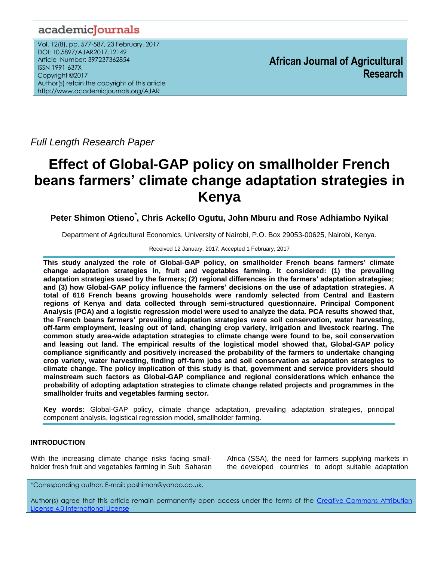# academicJournals

Vol. 12(8), pp. 577-587, 23 February, 2017 DOI: 10.5897/AJAR2017.12149 Article Number: 397237362854 ISSN 1991-637X Copyright ©2017 Author(s) retain the copyright of this article http://www.academicjournals.org/AJAR

**African Journal of Agricultural Research**

*Full Length Research Paper*

# **Effect of Global-GAP policy on smallholder French beans farmers' climate change adaptation strategies in Kenya**

**Peter Shimon Otieno\* , Chris Ackello Ogutu, John Mburu and Rose Adhiambo Nyikal**

Department of Agricultural Economics, University of Nairobi, P.O. Box 29053-00625, Nairobi, Kenya.

Received 12 January, 2017; Accepted 1 February, 2017

**This study analyzed the role of Global-GAP policy, on smallholder French beans farmers' climate change adaptation strategies in, fruit and vegetables farming. It considered: (1) the prevailing adaptation strategies used by the farmers; (2) regional differences in the farmers' adaptation strategies; and (3) how Global-GAP policy influence the farmers' decisions on the use of adaptation strategies. A total of 616 French beans growing households were randomly selected from Central and Eastern regions of Kenya and data collected through semi-structured questionnaire. Principal Component Analysis (PCA) and a logistic regression model were used to analyze the data. PCA results showed that, the French beans farmers' prevailing adaptation strategies were soil conservation, water harvesting, off-farm employment, leasing out of land, changing crop variety, irrigation and livestock rearing. The common study area-wide adaptation strategies to climate change were found to be, soil conservation and leasing out land. The empirical results of the logistical model showed that, Global-GAP policy compliance significantly and positively increased the probability of the farmers to undertake changing crop variety, water harvesting, finding off-farm jobs and soil conservation as adaptation strategies to climate change. The policy implication of this study is that, government and service providers should mainstream such factors as Global-GAP compliance and regional considerations which enhance the probability of adopting adaptation strategies to climate change related projects and programmes in the smallholder fruits and vegetables farming sector.** 

**Key words:** Global-GAP policy, climate change adaptation, prevailing adaptation strategies, principal component analysis, logistical regression model, smallholder farming.

# **INTRODUCTION**

With the increasing climate change risks facing smallholder fresh fruit and vegetables farming in Sub Saharan

Africa (SSA), the need for farmers supplying markets in the developed countries to adopt suitable adaptation

\*Corresponding author. E-mail: poshimon@yahoo.co.uk.

Author(s) agree that this article remain permanently open access under the terms of the Creative Commons [Attribution](http://creativecommons.org/licenses/by/4.0/deed.en_US)  License 4.0 [International](http://creativecommons.org/licenses/by/4.0/deed.en_US) License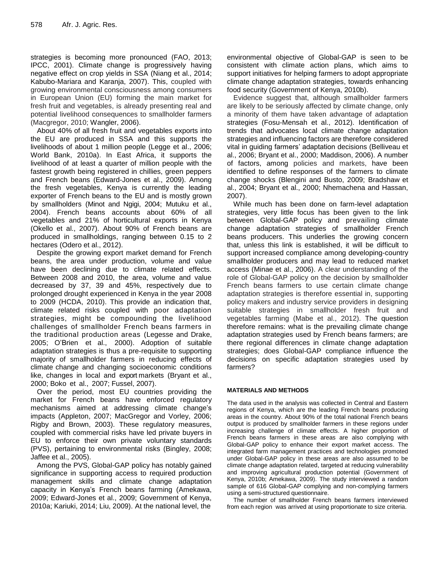strategies is becoming more pronounced (FAO, 2013; IPCC, 2001). Climate change is progressively having negative effect on crop yields in SSA (Niang et al., 2014; Kabubo-Mariara and Karanja, 2007). This, coupled with growing environmental consciousness among consumers in European Union (EU) forming the main market for fresh fruit and vegetables, is already presenting real and potential livelihood consequences to smallholder farmers (Macgregor, 2010; Wangler, 2006).

About 40% of all fresh fruit and vegetables exports into the EU are produced in SSA and this supports the livelihoods of about 1 million people (Legge et al., 2006; World Bank, 2010a). In East Africa, it supports the livelihood of at least a quarter of million people with the fastest growth being registered in chillies, green peppers and French beans (Edward-Jones et al., 2009). Among the fresh vegetables, Kenya is currently the leading exporter of French beans to the EU and is mostly grown by smallholders (Minot and Ngigi, 2004; Mutuku et al., 2004). French beans accounts about 60% of all vegetables and 21% of horticultural exports in Kenya (Okello et al., 2007). About 90% of French beans are produced in smallholdings, ranging between 0.15 to 2 hectares (Odero et al., 2012).

Despite the growing export market demand for French beans, the area under production, volume and value have been declining due to climate related effects. Between 2008 and 2010, the area, volume and value decreased by 37, 39 and 45%, respectively due to prolonged drought experienced in Kenya in the year 2008 to 2009 (HCDA, 2010). This provide an indication that, climate related risks coupled with poor adaptation strategies, might be compounding the livelihood challenges of smallholder French beans farmers in the traditional production areas (Legesse and Drake, 2005; O'Brien et al., 2000). Adoption of suitable adaptation strategies is thus a pre-requisite to supporting majority of smallholder farmers in reducing effects of climate change and changing socioeconomic conditions like, changes in local and export markets (Bryant et al., 2000; Boko et al., 2007; Fussel, 2007).

Over the period, most EU countries providing the market for French beans have enforced regulatory mechanisms aimed at addressing climate change's impacts (Appleton, 2007; MacGregor and Vorley, 2006; Rigby and Brown, 2003). These regulatory measures, coupled with commercial risks have led private buyers in EU to enforce their own private voluntary standards (PVS), pertaining to environmental risks (Bingley, 2008; Jaffee et al., 2005).

Among the PVS, Global-GAP policy has notably gained significance in supporting access to required production management skills and climate change adaptation capacity in Kenya's French beans farming (Amekawa, 2009; Edward-Jones et al., 2009; Government of Kenya, 2010a; Kariuki, 2014; Liu, 2009). At the national level, the

environmental objective of Global-GAP is seen to be consistent with climate action plans, which aims to support initiatives for helping farmers to adopt appropriate climate change adaptation strategies, towards enhancing food security (Government of Kenya, 2010b).

Evidence suggest that, although smallholder farmers are likely to be seriously affected by climate change, only a minority of them have taken advantage of adaptation strategies (Fosu-Mensah et al., 2012). Identification of trends that advocates local climate change adaptation strategies and influencing factors are therefore considered vital in guiding farmers' adaptation decisions (Belliveau et al., 2006; Bryant et al., 2000; Maddison, 2006). A number of factors, among policies and markets, have been identified to define responses of the farmers to climate change shocks (Blengini and Busto, 2009; Bradshaw et al., 2004; Bryant et al., 2000; Nhemachena and Hassan, 2007).

While much has been done on farm-level adaptation strategies, very little focus has been given to the link between Global-GAP policy and prevailing climate change adaptation strategies of smallholder French beans producers. This underlies the growing concern that, unless this link is established, it will be difficult to support increased compliance among developing-country smallholder producers and may lead to reduced market access (Minae et al., 2006). A clear understanding of the role of Global-GAP policy on the decision by smallholder French beans farmers to use certain climate change adaptation strategies is therefore essential in, supporting policy makers and industry service providers in designing suitable strategies in smallholder fresh fruit and vegetables farming (Mabe et al., 2012). The question therefore remains: what is the prevailing climate change adaptation strategies used by French beans farmers; are there regional differences in climate change adaptation strategies; does Global-GAP compliance influence the decisions on specific adaptation strategies used by farmers?

#### **MATERIALS AND METHODS**

The data used in the analysis was collected in Central and Eastern regions of Kenya, which are the leading French beans producing areas in the country. About 90% of the total national French beans output is produced by smallholder farmers in these regions under increasing challenge of climate effects. A higher proportion of French beans farmers in these areas are also complying with Global-GAP policy to enhance their export market access. The integrated farm management practices and technologies promoted under Global-GAP policy in these areas are also assumed to be climate change adaptation related, targeted at reducing vulnerability and improving agricultural production potential (Government of Kenya, 2010b; Amekawa, 2009). The study interviewed a random sample of 616 Global-GAP complying and non-complying farmers using a semi-structured questionnaire.

The number of smallholder French beans farmers interviewed from each region was arrived at using proportionate to size criteria.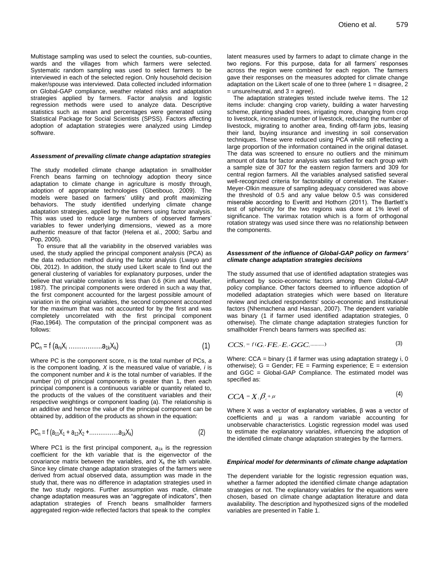Multistage sampling was used to select the counties, sub-counties, wards and the villages from which farmers were selected. Systematic random sampling was used to select farmers to be interviewed in each of the selected region. Only household decision maker/spouse was interviewed. Data collected included information on Global-GAP compliance, weather related risks and adaptation strategies applied by farmers. Factor analysis and logistic regression methods were used to analyze data. Descriptive statistics such as mean and percentages were generated using Statistical Package for Social Scientists (SPSS). Factors affecting adoption of adaptation strategies were analyzed using Limdep software.

#### *Assessment of prevailing climate change adaptation strategies*

The study modelled climate change adaptation in smallholder French beans farming on technology adoption theory since adaptation to climate change in agriculture is mostly through, adoption of appropriate technologies (Gbetibouo, 2009). The models were based on farmers' utility and profit maximizing behaviors. The study identified underlying climate change adaptation strategies, applied by the farmers using factor analysis. This was used to reduce large numbers of observed farmers' variables to fewer underlying dimensions, viewed as a more authentic measure of that factor (Helena et al., 2000; Sarbu and Pop, 2005).

To ensure that all the variability in the observed variables was used, the study applied the principal component analysis (PCA) as the data reduction method during the factor analysis (Lwayo and Obi, 2012). In addition, the study used Likert scale to find out the general clustering of variables for explanatory purposes, under the believe that variable correlation is less than 0.6 (Kim and Mueller, 1987). The principal components were ordered in such a way that, the first component accounted for the largest possible amount of variation in the original variables, the second component accounted for the maximum that was not accounted for by the first and was completely uncorrelated with the first principal component (Rao,1964). The computation of the principal component was as follows:

$$
PC_n = f\left(a_{ni}X_i \dots \dots \dots \dots a_{1k}X_k\right) \tag{1}
$$

Where PC is the component score, n is the total number of PCs, *a* is the component loading, *X* is the measured value of variable, *i* is the component number and *k* is the total number of variables. If the number (n) of principal components is greater than 1, then each principal component is a continuous variable or quantity related to, the products of the values of the constituent variables and their respective weightings or component loading (a). The relationship is an additive and hence the value of the principal component can be obtained by, addition of the products as shown in the equation:

$$
PC_n = f (a_{11}X_1 + a_{12}X_2 + \dots + a_{1k}X_k)
$$
 (2)

Where PC1 is the first principal component,  $a_{1k}$  is the regression coefficient for the kth variable that is the eigenvector of the covariance matrix between the variables, and  $X_k$  the kth variable. Since key climate change adaptation strategies of the farmers were derived from actual observed data, assumption was made in the study that, there was no difference in adaptation strategies used in the two study regions. Further assumption was made, climate change adaptation measures was an "aggregate of indicators", then adaptation strategies of French beans smallholder farmers aggregated region-wide reflected factors that speak to the complex

latent measures used by farmers to adapt to climate change in the two regions. For this purpose, data for all farmers' responses across the region were combined for each region. The farmers gave their responses on the measures adopted for climate change adaptation on the Likert scale of one to three (where 1 = disagree, 2  $=$  unsure/neutral, and  $3 =$  agree).

The adaptation strategies tested include twelve items. The 12 items include: changing crop variety, building a water harvesting scheme, planting shaded trees, irrigating more, changing from crop to livestock, increasing number of livestock, reducing the number of livestock, migrating to another area, finding off-farm jobs, leasing their land, buying insurance and investing in soil conservation techniques. These were reduced using PCA while still reflecting a large proportion of the information contained in the original dataset. The data was screened to ensure no outliers and the minimum amount of data for factor analysis was satisfied for each group with a sample size of 307 for the eastern region farmers and 309 for central region farmers. All the variables analysed satisfied several well-recognized criteria for factorability of correlation. The Kaiser-Meyer-Olkin measure of sampling adequacy considered was above the threshold of 0.5 and any value below 0.5 was considered miserable according to Everitt and Hothorn (2011). The Bartlett's test of sphericity for the two regions was done at 1% level of significance. The varimax rotation which is a form of orthogonal rotation strategy was used since there was no relationship between the components.

#### *Assessment of the influence of Global-GAP policy on farmers' climate change adaptation strategies decisions*

The study assumed that use of identified adaptation strategies was influenced by socio-economic factors among them Global-GAP policy compliance. Other factors deemed to influence adoption of modelled adaptation strategies which were based on literature review and included respondents' socio-economic and institutional factors (Nhemachena and Hassan, 2007). The dependent variable was binary (1 if farmer used identified adaptation strategies, 0 otherwise). The climate change adaptation strategies function for smallholder French beans farmers was specified as:

$$
CCS_i = f(G_i, FE_i, E_i, GGC_i \dots \dots \dots)
$$
\n(3)

Where: CCA = binary (1 if farmer was using adaptation strategy i, 0 otherwise);  $G =$  Gender;  $FE =$  Farming experience;  $E =$  extension and GGC = Global-GAP Compliance. The estimated model was specified as:

$$
CCA = X_i \beta_i + \mu \tag{4}
$$

Where X was a vector of explanatory variables, β was a vector of coefficients and µ was a random variable accounting for unobservable characteristics. Logistic regression model was used to estimate the explanatory variables, influencing the adoption of the identified climate change adaptation strategies by the farmers.

#### *Empirical model for determinants of climate change adaptation*

The dependent variable for the logistic regression equation was, whether a farmer adopted the identified climate change adaptation strategies or not. The explanatory variables for the equations were chosen, based on climate change adaptation literature and data availability. The description and hypothesized signs of the modelled variables are presented in Table 1.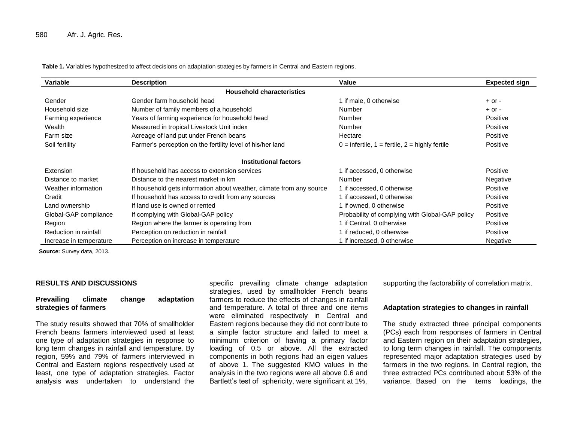**Table 1.** Variables hypothesized to affect decisions on adaptation strategies by farmers in Central and Eastern regions.

| Variable                         | <b>Description</b>                                                   | Value                                            | <b>Expected sign</b> |  |  |  |
|----------------------------------|----------------------------------------------------------------------|--------------------------------------------------|----------------------|--|--|--|
| <b>Household characteristics</b> |                                                                      |                                                  |                      |  |  |  |
| Gender                           | Gender farm household head                                           | 1 if male, 0 otherwise                           | $+$ or $-$           |  |  |  |
| Household size                   | Number of family members of a household                              | Number                                           | $+$ or $-$           |  |  |  |
| Farming experience               | Years of farming experience for household head                       | Number                                           | Positive             |  |  |  |
| Wealth                           | Measured in tropical Livestock Unit index                            | <b>Number</b>                                    | Positive             |  |  |  |
| Farm size                        | Acreage of land put under French beans                               | Hectare                                          | Positive             |  |  |  |
| Soil fertility                   | Farmer's perception on the fertility level of his/her land           | $0 =$ infertile, 1 = fertile, 2 = highly fertile | Positive             |  |  |  |
| Institutional factors            |                                                                      |                                                  |                      |  |  |  |
| Extension                        | If household has access to extension services                        | 1 if accessed, 0 otherwise                       | Positive             |  |  |  |
| Distance to market               | Distance to the nearest market in km                                 | <b>Number</b>                                    | Negative             |  |  |  |
| Weather information              | If household gets information about weather, climate from any source | 1 if accessed, 0 otherwise                       | Positive             |  |  |  |
| Credit                           | If household has access to credit from any sources                   | 1 if accessed, 0 otherwise                       | Positive             |  |  |  |
| Land ownership                   | If land use is owned or rented                                       | 1 if owned, 0 otherwise                          | Positive             |  |  |  |
| Global-GAP compliance            | If complying with Global-GAP policy                                  | Probability of complying with Global-GAP policy  | Positive             |  |  |  |
| Region                           | Region where the farmer is operating from                            | 1 if Central, 0 otherwise                        | Positive             |  |  |  |
| Reduction in rainfall            | Perception on reduction in rainfall                                  | 1 if reduced, 0 otherwise                        | Positive             |  |  |  |
| Increase in temperature          | Perception on increase in temperature                                | 1 if increased, 0 otherwise                      | Negative             |  |  |  |

**Source:** Survey data, 2013.

### **RESULTS AND DISCUSSIONS**

#### **Prevailing climate change adaptation strategies of farmers**

The study results showed that 70% of smallholder French beans farmers interviewed used at least one type of adaptation strategies in response to long term changes in rainfall and temperature. By region, 59% and 79% of farmers interviewed in Central and Eastern regions respectively used at least, one type of adaptation strategies. Factor analysis was undertaken to understand the

specific prevailing climate change adaptation strategies, used by smallholder French beans farmers to reduce the effects of changes in rainfall and temperature. A total of three and one items were eliminated respectively in Central and Eastern regions because they did not contribute to a simple factor structure and failed to meet a minimum criterion of having a primary factor loading of 0.5 or above. All the extracted components in both regions had an eigen values of above 1. The suggested KMO values in the analysis in the two regions were all above 0.6 and Bartlett's test of sphericity, were significant at 1%,

supporting the factorability of correlation matrix.

#### **Adaptation strategies to changes in rainfall**

The study extracted three principal components (PCs) each from responses of farmers in Central and Eastern region on their adaptation strategies, to long term changes in rainfall. The components represented major adaptation strategies used by farmers in the two regions. In Central region, the three extracted PCs contributed about 53% of the variance. Based on the items loadings, the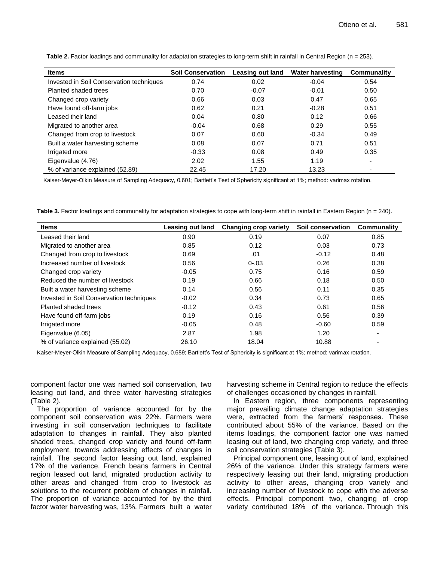| <b>Items</b>                             | <b>Soil Conservation</b> | Leasing out land | <b>Water harvesting</b> | Communality              |
|------------------------------------------|--------------------------|------------------|-------------------------|--------------------------|
| Invested in Soil Conservation techniques | 0.74                     | 0.02             | $-0.04$                 | 0.54                     |
| Planted shaded trees                     | 0.70                     | $-0.07$          | $-0.01$                 | 0.50                     |
| Changed crop variety                     | 0.66                     | 0.03             | 0.47                    | 0.65                     |
| Have found off-farm jobs                 | 0.62                     | 0.21             | $-0.28$                 | 0.51                     |
| Leased their land                        | 0.04                     | 0.80             | 0.12                    | 0.66                     |
| Migrated to another area                 | $-0.04$                  | 0.68             | 0.29                    | 0.55                     |
| Changed from crop to livestock           | 0.07                     | 0.60             | $-0.34$                 | 0.49                     |
| Built a water harvesting scheme          | 0.08                     | 0.07             | 0.71                    | 0.51                     |
| Irrigated more                           | $-0.33$                  | 0.08             | 0.49                    | 0.35                     |
| Eigenvalue (4.76)                        | 2.02                     | 1.55             | 1.19                    | $\blacksquare$           |
| % of variance explained (52.89)          | 22.45                    | 17.20            | 13.23                   | $\overline{\phantom{0}}$ |

**Table 2.** Factor loadings and communality for adaptation strategies to long-term shift in rainfall in Central Region (n = 253).

Kaiser-Meyer-Olkin Measure of Sampling Adequacy, 0.601; Bartlett's Test of Sphericity significant at 1%; method: varimax rotation.

**Table 3.** Factor loadings and communality for adaptation strategies to cope with long-term shift in rainfall in Eastern Region (n = 240).

| <b>Items</b>                             | Leasing out land | Changing crop variety |         | Communality |
|------------------------------------------|------------------|-----------------------|---------|-------------|
| Leased their land                        | 0.90             | 0.19                  | 0.07    | 0.85        |
| Migrated to another area                 | 0.85             | 0.12                  | 0.03    | 0.73        |
| Changed from crop to livestock           | 0.69             | .01                   | $-0.12$ | 0.48        |
| Increased number of livestock            | 0.56             | $0 - 03$              | 0.26    | 0.38        |
| Changed crop variety                     | $-0.05$          | 0.75                  | 0.16    | 0.59        |
| Reduced the number of livestock          | 0.19             | 0.66                  | 0.18    | 0.50        |
| Built a water harvesting scheme          | 0.14             | 0.56                  | 0.11    | 0.35        |
| Invested in Soil Conservation techniques | $-0.02$          | 0.34                  | 0.73    | 0.65        |
| Planted shaded trees                     | $-0.12$          | 0.43                  | 0.61    | 0.56        |
| Have found off-farm jobs                 | 0.19             | 0.16                  | 0.56    | 0.39        |
| Irrigated more                           | $-0.05$          | 0.48                  | $-0.60$ | 0.59        |
| Eigenvalue (6.05)                        | 2.87             | 1.98                  | 1.20    | ۰           |
| % of variance explained (55.02)          | 26.10            | 18.04                 | 10.88   |             |

Kaiser-Meyer-Olkin Measure of Sampling Adequacy, 0.689; Bartlett's Test of Sphericity is significant at 1%; method: varimax rotation.

component factor one was named soil conservation, two leasing out land, and three water harvesting strategies (Table 2).

The proportion of variance accounted for by the component soil conservation was 22%. Farmers were investing in soil conservation techniques to facilitate adaptation to changes in rainfall. They also planted shaded trees, changed crop variety and found off-farm employment, towards addressing effects of changes in rainfall. The second factor leasing out land, explained 17% of the variance. French beans farmers in Central region leased out land, migrated production activity to other areas and changed from crop to livestock as solutions to the recurrent problem of changes in rainfall. The proportion of variance accounted for by the third factor water harvesting was, 13%. Farmers built a water

harvesting scheme in Central region to reduce the effects of challenges occasioned by changes in rainfall.

In Eastern region, three components representing major prevailing climate change adaptation strategies were, extracted from the farmers' responses. These contributed about 55% of the variance. Based on the items loadings, the component factor one was named leasing out of land, two changing crop variety, and three soil conservation strategies (Table 3).

Principal component one, leasing out of land, explained 26% of the variance. Under this strategy farmers were respectively leasing out their land, migrating production activity to other areas, changing crop variety and increasing number of livestock to cope with the adverse effects. Principal component two, changing of crop variety contributed 18% of the variance. Through this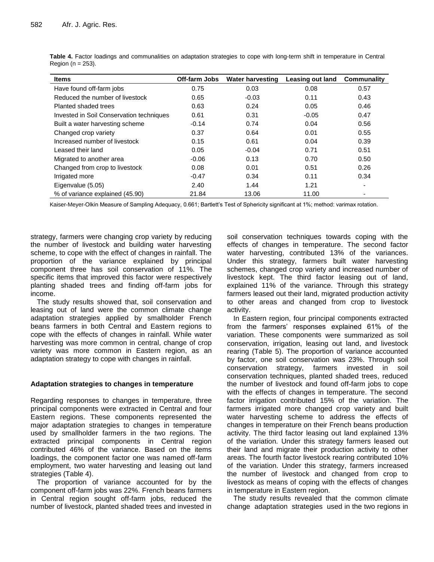| <b>Items</b>                             | Off-farm Jobs | <b>Water harvesting</b> | Leasing out land | Communality |  |
|------------------------------------------|---------------|-------------------------|------------------|-------------|--|
| Have found off-farm jobs                 | 0.75          | 0.03                    | 0.08             | 0.57        |  |
| Reduced the number of livestock          | 0.65          | $-0.03$                 | 0.11             | 0.43        |  |
| Planted shaded trees                     | 0.63          | 0.24                    | 0.05             | 0.46        |  |
| Invested in Soil Conservation techniques | 0.61          | 0.31                    | $-0.05$          | 0.47        |  |
| Built a water harvesting scheme          | $-0.14$       | 0.74                    | 0.04             | 0.56        |  |
| Changed crop variety                     | 0.37          | 0.64                    | 0.01             | 0.55        |  |
| Increased number of livestock            | 0.15          | 0.61                    | 0.04             | 0.39        |  |
| Leased their land                        | 0.05          | $-0.04$                 | 0.71             | 0.51        |  |
| Migrated to another area                 | $-0.06$       | 0.13                    | 0.70             | 0.50        |  |
| Changed from crop to livestock           | 0.08          | 0.01                    | 0.51             | 0.26        |  |
| Irrigated more                           | $-0.47$       | 0.34                    | 0.11             | 0.34        |  |
| Eigenvalue (5.05)                        | 2.40          | 1.44                    | 1.21             | ۰           |  |
| % of variance explained (45.90)          | 21.84         | 13.06                   | 11.00            | ۰           |  |

**Table 4.** Factor loadings and communalities on adaptation strategies to cope with long-term shift in temperature in Central Region ( $n = 253$ ).

Kaiser-Meyer-Olkin Measure of Sampling Adequacy, 0.661; Bartlett's Test of Sphericity significant at 1%; method: varimax rotation.

strategy, farmers were changing crop variety by reducing the number of livestock and building water harvesting scheme, to cope with the effect of changes in rainfall. The proportion of the variance explained by principal component three has soil conservation of 11%. The specific items that improved this factor were respectively planting shaded trees and finding off-farm jobs for income.

The study results showed that, soil conservation and leasing out of land were the common climate change adaptation strategies applied by smallholder French beans farmers in both Central and Eastern regions to cope with the effects of changes in rainfall. While water harvesting was more common in central, change of crop variety was more common in Eastern region, as an adaptation strategy to cope with changes in rainfall.

# **Adaptation strategies to changes in temperature**

Regarding responses to changes in temperature, three principal components were extracted in Central and four Eastern regions. These components represented the major adaptation strategies to changes in temperature used by smallholder farmers in the two regions. The extracted principal components in Central region contributed 46% of the variance. Based on the items loadings, the component factor one was named off-farm employment, two water harvesting and leasing out land strategies (Table 4).

The proportion of variance accounted for by the component off-farm jobs was 22%. French beans farmers in Central region sought off-farm jobs, reduced the number of livestock, planted shaded trees and invested in

soil conservation techniques towards coping with the effects of changes in temperature. The second factor water harvesting, contributed 13% of the variances. Under this strategy, farmers built water harvesting schemes, changed crop variety and increased number of livestock kept. The third factor leasing out of land, explained 11% of the variance. Through this strategy farmers leased out their land, migrated production activity to other areas and changed from crop to livestock activity.

In Eastern region, four principal components extracted from the farmers' responses explained 61% of the variation. These components were summarized as soil conservation, irrigation, leasing out land, and livestock rearing (Table 5). The proportion of variance accounted by factor, one soil conservation was 23%. Through soil conservation strategy, farmers invested in soil conservation techniques, planted shaded trees, reduced the number of livestock and found off-farm jobs to cope with the effects of changes in temperature. The second factor irrigation contributed 15% of the variation. The farmers irrigated more changed crop variety and built water harvesting scheme to address the effects of changes in temperature on their French beans production activity. The third factor leasing out land explained 13% of the variation. Under this strategy farmers leased out their land and migrate their production activity to other areas. The fourth factor livestock rearing contributed 10% of the variation. Under this strategy, farmers increased the number of livestock and changed from crop to livestock as means of coping with the effects of changes in temperature in Eastern region.

The study results revealed that the common climate change adaptation strategies used in the two regions in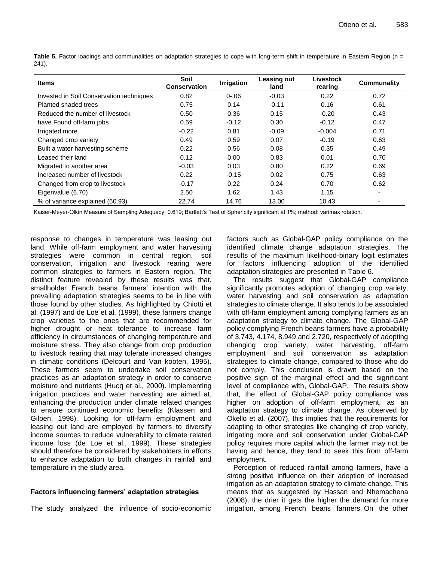**Table 5.** Factor loadings and communalities on adaptation strategies to cope with long-term shift in temperature in Eastern Region (n = 241).

| <b>Items</b>                             | Soil<br><b>Conservation</b> | <b>Irrigation</b> | Leasing out<br>land | Livestock<br>rearing | Communality |
|------------------------------------------|-----------------------------|-------------------|---------------------|----------------------|-------------|
| Invested in Soil Conservation techniques | 0.82                        | $0 - .06$         | $-0.03$             | 0.22                 | 0.72        |
| Planted shaded trees                     | 0.75                        | 0.14              | $-0.11$             | 0.16                 | 0.61        |
| Reduced the number of livestock          | 0.50                        | 0.36              | 0.15                | $-0.20$              | 0.43        |
| have Found off-farm jobs                 | 0.59                        | $-0.12$           | 0.30                | $-0.12$              | 0.47        |
| Irrigated more                           | $-0.22$                     | 0.81              | $-0.09$             | $-0.004$             | 0.71        |
| Changed crop variety                     | 0.49                        | 0.59              | 0.07                | $-0.19$              | 0.63        |
| Built a water harvesting scheme          | 0.22                        | 0.56              | 0.08                | 0.35                 | 0.49        |
| Leased their land                        | 0.12                        | 0.00              | 0.83                | 0.01                 | 0.70        |
| Migrated to another area                 | $-0.03$                     | 0.03              | 0.80                | 0.22                 | 0.69        |
| Increased number of livestock            | 0.22                        | $-0.15$           | 0.02                | 0.75                 | 0.63        |
| Changed from crop to livestock           | $-0.17$                     | 0.22              | 0.24                | 0.70                 | 0.62        |
| Eigenvalue (6.70)                        | 2.50                        | 1.62              | 1.43                | 1.15                 | -           |
| % of variance explained (60.93)          | 22.74                       | 14.76             | 13.00               | 10.43                | ۰           |

Kaiser-Meyer-Olkin Measure of Sampling Adequacy, 0.619; Bartlett's Test of Sphericity significant at 1%; method: varimax rotation.

response to changes in temperature was leasing out land. While off-farm employment and water harvesting strategies were common in central region, soil conservation, irrigation and livestock rearing were common strategies to farmers in Eastern region. The distinct feature revealed by these results was that, smallholder French beans farmers' intention with the prevailing adaptation strategies seems to be in line with those found by other studies. As highlighted by Chiotti et al. (1997) and de Loë et al. (1999), these farmers change crop varieties to the ones that are recommended for higher drought or heat tolerance to increase farm efficiency in circumstances of changing temperature and moisture stress. They also change from crop production to livestock rearing that may tolerate increased changes in climatic conditions (Delcourt and Van kooten, 1995). These farmers seem to undertake soil conservation practices as an adaptation strategy in order to conserve moisture and nutrients (Hucq et al., 2000). Implementing irrigation practices and water harvesting are aimed at, enhancing the production under climate related changes to ensure continued economic benefits (Klassen and Gilpen, 1998). Looking for off-farm employment and leasing out land are employed by farmers to diversify income sources to reduce vulnerability to climate related income loss (de Loe et al., 1999). These strategies should therefore be considered by stakeholders in efforts to enhance adaptation to both changes in rainfall and temperature in the study area.

# **Factors influencing farmers' adaptation strategies**

The study analyzed the influence of socio-economic

factors such as Global-GAP policy compliance on the identified climate change adaptation strategies. The results of the maximum likelihood-binary logit estimates for factors influencing adoption of the identified adaptation strategies are presented in Table 6.

The results suggest that Global-GAP compliance significantly promotes adoption of changing crop variety, water harvesting and soil conservation as adaptation strategies to climate change. It also tends to be associated with off-farm employment among complying farmers as an adaptation strategy to climate change. The Global-GAP policy complying French beans farmers have a probability of 3.743, 4.174, 8.949 and 2.720, respectively of adopting changing crop variety, water harvesting, off-farm employment and soil conservation as adaptation strategies to climate change, compared to those who do not comply. This conclusion is drawn based on the positive sign of the marginal effect and the significant level of compliance with, Global-GAP. The results show that, the effect of Global-GAP policy compliance was higher on adoption of off-farm employment, as an adaptation strategy to climate change. As observed by Okello et al. (2007), this implies that the requirements for adapting to other strategies like changing of crop variety, irrigating more and soil conservation under Global-GAP policy requires more capital which the farmer may not be having and hence, they tend to seek this from off-farm employment.

Perception of reduced rainfall among farmers, have a strong positive influence on their adoption of increased irrigation as an adaptation strategy to climate change. This means that as suggested by Hassan and Nhemachena (2008), the drier it gets the higher the demand for more irrigation, among French beans farmers. On the other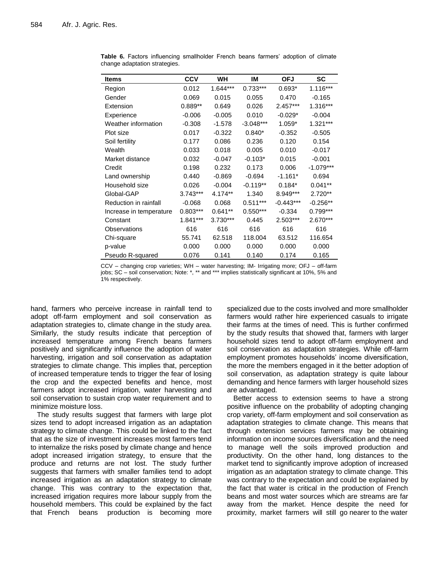| Items                   | <b>CCV</b> | WН        | IM          | <b>OFJ</b>  | SC          |
|-------------------------|------------|-----------|-------------|-------------|-------------|
| Region                  | 0.012      | 1.644***  | $0.733***$  | $0.693*$    | $1.116***$  |
| Gender                  | 0.069      | 0.015     | 0.055       | 0.470       | -0.165      |
| Extension               | $0.889**$  | 0.649     | 0.026       | 2.457***    | 1.316***    |
| Experience              | $-0.006$   | $-0.005$  | 0.010       | $-0.029*$   | $-0.004$    |
| Weather information     | $-0.308$   | $-1.578$  | $-3.048***$ | $1.059*$    | $1.321***$  |
| Plot size               | 0.017      | $-0.322$  | $0.840*$    | $-0.352$    | $-0.505$    |
| Soil fertility          | 0.177      | 0.086     | 0.236       | 0.120       | 0.154       |
| Wealth                  | 0.033      | 0.018     | 0.005       | 0.010       | $-0.017$    |
| Market distance         | 0.032      | $-0.047$  | $-0.103*$   | 0.015       | $-0.001$    |
| Credit                  | 0.198      | 0.232     | 0.173       | 0.006       | $-1.079***$ |
| Land ownership          | 0.440      | $-0.869$  | $-0.694$    | $-1.161*$   | 0.694       |
| Household size          | 0.026      | $-0.004$  | $-0.119**$  | $0.184*$    | $0.041**$   |
| Global-GAP              | 3.743***   | 4.174**   | 1.340       | 8.949***    | $2.720**$   |
| Reduction in rainfall   | $-0.068$   | 0.068     | $0.511***$  | $-0.443***$ | $-0.256**$  |
| Increase in temperature | $0.803***$ | $0.641**$ | $0.550***$  | $-0.334$    | $0.799***$  |
| Constant                | $1.841***$ | 3.730***  | 0.445       | 2.503***    | 2.670***    |
| Observations            | 616        | 616       | 616         | 616         | 616         |
| Chi-square              | 55.741     | 62.518    | 118.004     | 63.512      | 116.654     |
| p-value                 | 0.000      | 0.000     | 0.000       | 0.000       | 0.000       |
| Pseudo R-squared        | 0.076      | 0.141     | 0.140       | 0.174       | 0.165       |

**Table 6.** Factors influencing smallholder French beans farmers' adoption of climate change adaptation strategies.

CCV – changing crop varieties; WH – water harvesting; IM- Irrigating more; OFJ – off-farm jobs; SC – soil conservation; Note: \*, \*\* and \*\*\* implies statistically significant at 10%, 5% and 1% respectively.

hand, farmers who perceive increase in rainfall tend to adopt off-farm employment and soil conservation as adaptation strategies to, climate change in the study area. Similarly, the study results indicate that perception of increased temperature among French beans farmers positively and significantly influence the adoption of water harvesting, irrigation and soil conservation as adaptation strategies to climate change. This implies that, perception of increased temperature tends to trigger the fear of losing the crop and the expected benefits and hence, most farmers adopt increased irrigation, water harvesting and soil conservation to sustain crop water requirement and to minimize moisture loss.

The study results suggest that farmers with large plot sizes tend to adopt increased irrigation as an adaptation strategy to climate change. This could be linked to the fact that as the size of investment increases most farmers tend to internalize the risks posed by climate change and hence adopt increased irrigation strategy, to ensure that the produce and returns are not lost. The study further suggests that farmers with smaller families tend to adopt increased irrigation as an adaptation strategy to climate change. This was contrary to the expectation that, increased irrigation requires more labour supply from the household members. This could be explained by the fact that French beans production is becoming more specialized due to the costs involved and more smallholder farmers would rather hire experienced casuals to irrigate their farms at the times of need. This is further confirmed by the study results that showed that, farmers with larger household sizes tend to adopt off-farm employment and soil conservation as adaptation strategies. While off-farm employment promotes households' income diversification, the more the members engaged in it the better adoption of soil conservation, as adaptation strategy is quite labour demanding and hence farmers with larger household sizes are advantaged.

Better access to extension seems to have a strong positive influence on the probability of adopting changing crop variety, off-farm employment and soil conservation as adaptation strategies to climate change. This means that through extension services farmers may be obtaining information on income sources diversification and the need to manage well the soils improved production and productivity. On the other hand, long distances to the market tend to significantly improve adoption of increased irrigation as an adaptation strategy to climate change. This was contrary to the expectation and could be explained by the fact that water is critical in the production of French beans and most water sources which are streams are far away from the market. Hence despite the need for proximity, market farmers will still go nearer to the water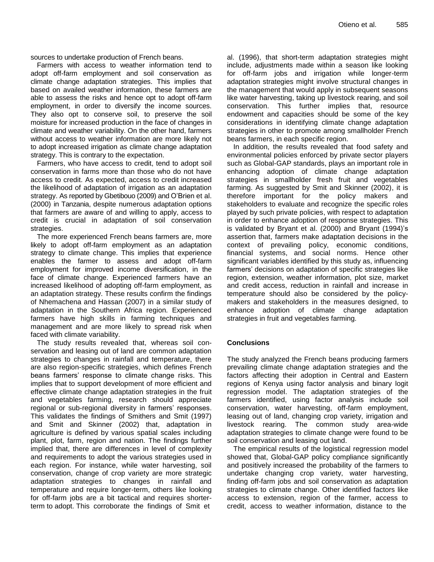sources to undertake production of French beans.

Farmers with access to weather information tend to adopt off-farm employment and soil conservation as climate change adaptation strategies. This implies that based on availed weather information, these farmers are able to assess the risks and hence opt to adopt off-farm employment, in order to diversify the income sources. They also opt to conserve soil, to preserve the soil moisture for increased production in the face of changes in climate and weather variability. On the other hand, farmers without access to weather information are more likely not to adopt increased irrigation as climate change adaptation strategy. This is contrary to the expectation.

Farmers, who have access to credit, tend to adopt soil conservation in farms more than those who do not have access to credit. As expected, access to credit increased the likelihood of adaptation of irrigation as an adaptation strategy. As reported by Gbetibouo (2009) and O'Brien et al. (2000) in Tanzania, despite numerous adaptation options that farmers are aware of and willing to apply, access to credit is crucial in adaptation of soil conservation strategies.

The more experienced French beans farmers are, more likely to adopt off-farm employment as an adaptation strategy to climate change. This implies that experience enables the farmer to assess and adopt off-farm employment for improved income diversification, in the face of climate change. Experienced farmers have an increased likelihood of adopting off-farm employment, as an adaptation strategy. These results confirm the findings of Nhemachena and Hassan (2007) in a similar study of adaptation in the Southern Africa region. Experienced farmers have high skills in farming techniques and management and are more likely to spread risk when faced with climate variability.

The study results revealed that, whereas soil conservation and leasing out of land are common adaptation strategies to changes in rainfall and temperature, there are also region-specific strategies, which defines French beans farmers' response to climate change risks. This implies that to support development of more efficient and effective climate change adaptation strategies in the fruit and vegetables farming, research should appreciate regional or sub-regional diversity in farmers' responses. This validates the findings of Smithers and Smit (1997) and Smit and Skinner (2002) that, adaptation in agriculture is defined by various spatial scales including plant, plot, farm, region and nation. The findings further implied that, there are differences in level of complexity and requirements to adopt the various strategies used in each region. For instance, while water harvesting, soil conservation, change of crop variety are more strategic adaptation strategies to changes in rainfall and temperature and require longer-term, others like looking for off-farm jobs are a bit tactical and requires shorterterm to adopt. This corroborate the findings of Smit et

al. (1996), that short-term adaptation strategies might include, adjustments made within a season like looking for off-farm jobs and irrigation while longer-term adaptation strategies might involve structural changes in the management that would apply in subsequent seasons like water harvesting, taking up livestock rearing, and soil conservation. This further implies that, resource endowment and capacities should be some of the key considerations in identifying climate change adaptation strategies in other to promote among smallholder French beans farmers, in each specific region.

In addition, the results revealed that food safety and environmental policies enforced by private sector players such as Global-GAP standards, plays an important role in enhancing adoption of climate change adaptation strategies in smallholder fresh fruit and vegetables farming. As suggested by Smit and Skinner (2002), it is therefore important for the policy makers and stakeholders to evaluate and recognize the specific roles played by such private policies, with respect to adaptation in order to enhance adoption of response strategies. This is validated by Bryant et al. (2000) and Bryant (1994)'s assertion that, farmers make adaptation decisions in the context of prevailing policy, economic conditions, financial systems, and social norms. Hence other significant variables identified by this study as, influencing farmers' decisions on adaptation of specific strategies like region, extension, weather information, plot size, market and credit access, reduction in rainfall and increase in temperature should also be considered by the policymakers and stakeholders in the measures designed, to enhance adoption of climate change adaptation strategies in fruit and vegetables farming.

#### **Conclusions**

The study analyzed the French beans producing farmers prevailing climate change adaptation strategies and the factors affecting their adoption in Central and Eastern regions of Kenya using factor analysis and binary logit regression model. The adaptation strategies of the farmers identified, using factor analysis include soil conservation, water harvesting, off-farm employment, leasing out of land, changing crop variety, irrigation and livestock rearing. The common study area-wide adaptation strategies to climate change were found to be soil conservation and leasing out land.

The empirical results of the logistical regression model showed that, Global-GAP policy compliance significantly and positively increased the probability of the farmers to undertake changing crop variety, water harvesting, finding off-farm jobs and soil conservation as adaptation strategies to climate change. Other identified factors like access to extension, region of the farmer, access to credit, access to weather information, distance to the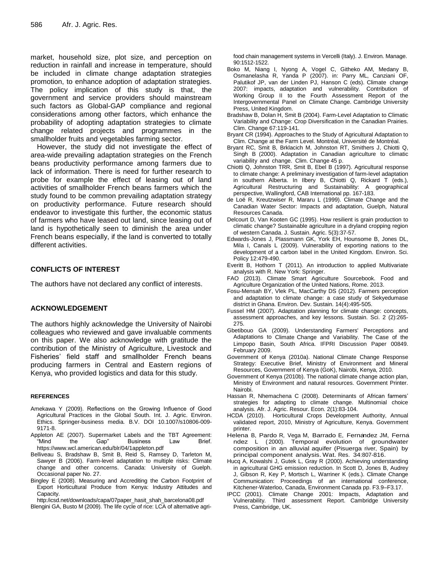market, household size, plot size, and perception on reduction in rainfall and increase in temperature, should be included in climate change adaptation strategies promotion, to enhance adoption of adaptation strategies. The policy implication of this study is that, the government and service providers should mainstream such factors as Global-GAP compliance and regional considerations among other factors, which enhance the probability of adopting adaptation strategies to climate change related projects and programmes in the smallholder fruits and vegetables farming sector.

However, the study did not investigate the effect of area-wide prevailing adaptation strategies on the French beans productivity performance among farmers due to lack of information. There is need for further research to probe for example the effect of leasing out of land activities of smallholder French beans farmers which the study found to be common prevailing adaptation strategy on productivity performance. Future research should endeavor to investigate this further, the economic status of farmers who have leased out land, since leasing out of land is hypothetically seen to diminish the area under French beans especially, if the land is converted to totally different activities.

# **CONFLICTS OF INTEREST**

The authors have not declared any conflict of interests.

# **ACKNOWLEDGEMENT**

The authors highly acknowledge the University of Nairobi colleagues who reviewed and gave invaluable comments on this paper. We also acknowledge with gratitude the contribution of the Ministry of Agriculture, Livestock and Fisheries' field staff and smallholder French beans producing farmers in Central and Eastern regions of Kenya, who provided logistics and data for this study.

#### **REFERENCES**

- Amekawa Y (2009). Reflections on the Growing Influence of Good Agricultural Practices in the Global South. Int. J. Agric. Environ. Ethics. Springer-business media. B.V. DOI 10.1007/s10806-009- 9171-8.
- Appleton AE (2007). Supermarket Labels and the TBT Agreement: "Mind the Gap" Business Law Brief. <https://www.wcl.american.edu/blr/04/1appleton.pdf>
- Belliveau S, Bradshaw B, Smit B, Reid S, Ramsey D, Tarleton M, Sawyer B (2006). Farm-level adaptation to multiple risks: Climate change and other concerns. Canada: University of Guelph. Occasional paper No. 27.
- Bingley E (2008). Measuring and Accrediting the Carbon Footprint of Export Horticultural Produce from Kenya: Industry Attitudes and Capacity.

http:/icsd.net/downloads/capa/07paper\_hasit\_shah\_barcelona08.pdf

Blengini GA, Busto M (2009). The life cycle of rice: LCA of alternative agri-

food chain management systems in Vercelli (Italy). J. Environ. Manage. 90:1512-1522.

- Boko M, Niang I, Nyong A, Vogel C, Githeko AM, Medany B, Osmanelasha R, Yanda P (2007). in: Parry ML, Canziani OF, Palutikof JP, van der Linden PJ, Hanson C (eds). Climate change 2007: impacts, adaptation and vulnerability. Contribution of Working Group II to the Fourth Assessment Report of the Intergovernmental Panel on Climate Change. Cambridge University Press, United Kingdom.
- Bradshaw B, Dolan H, Smit B (2004). Farm-Level Adaptation to Climatic Variability and Change: Crop Diversification in the Canadian Prairies. Clim. Change 67:119-141.
- Bryant CR (1994). Approaches to the Study of Agricultural Adaptation to Clim. Change at the Farm Level. Montréal, Université de Montréal.
- Bryant RC, Smit B, Brklacich M, Johnston RT, Smithers J, Chiotti Q, Singh B (2000). Adaptation in Canadian agriculture to climatic variability and change. Clim. Change 45 p.
- Chiotti Q, Johnston TRR, Smit B, Ebel B (1997). Agricultural response to climate change: A preliminary investigation of farm-level adaptation in southern Alberta. In Ilbery B, Chiotti Q, Rickard T (eds.), Agricultural Restructuring and Sustainability: A geographical perspective, Wallingford, CAB International pp. 167-183.
- de Loë R, Kreutzwiser R, Mararu L (1999). Climate Change and the Canadian Water Sector: Impacts and adaptation, Guelph, Natural Resources Canada.
- Delcourt D, Van Kooten GC (1995). How resilient is grain production to climatic change? Sustainable agriculture in a dryland cropping region of western Canada. J. Sustain. Agric. 5(3):37-57.
- Edwards-Jones J, Plassmann GK, York EH, Hounsome B, Jones DL, Mila I, Canals L (2009). Vulnerability of exporting nations to the development of a carbon label in the United Kingdom. Environ. Sci. Policy 12:479-490.
- Everitt B, Hothorn T (2011). An introduction to applied Multivariate analysis with R. New York: Springer.
- FAO (2013). Climate Smart Agriculture Sourcebook. Food and Agriculture Organization of the United Nations, Rome. 2013.
- Fosu-Mensah BY, Vlek PL, MacCarthy DS (2012). Farmers perception and adaptation to climate change: a case study of Sekyedumase district in Ghana. Environ. Dev. Sustain. 14(4):495-505.
- Fussel HM (2007). Adaptation planning for climate change: concepts, assessment approaches, and key lessons. Sustain. Sci. 2 (2):265- 275.
- Gbetibouo GA (2009). Understanding Farmers' Perceptions and Adaptations to Climate Change and Variability. The Case of the Limpopo Basin, South Africa. IFPRI Discussion Paper 00849. February 2009.
- Government of Kenya (2010a). National Climate Change Response Strategy: Executive Brief, Ministry of Environment and Mineral Resources, Government of Kenya (GoK), Nairobi, Kenya, 2010.
- Government of Kenya (2010b). The national climate change action plan, Ministry of Environment and natural resources. Government Printer. Nairobi.
- Hassan R, Nhemachena C (2008). Determinants of African farmers' strategies for adapting to climate change. Multinomial choice analysis. Afr. J. Agric. Resour. Econ. 2(1):83-104.
- HCDA (2010). Horticultural Crops Development Authority, Annual validated report, 2010, Ministry of Agriculture, Kenya. Government printer.
- Helena B, Pardo R, Vega M, Barrado E, Fernandez JM, Ferna ndez L ( 2000). Temporal evolution of [groundwater](http://dx.doi.org/10.1016/S0043-1354(99)00225-0) composition in an alluvial aquifer (Pisuerga river, Spain) by principal component analysis. Wat. Res. 34:807-816.
- Hucq A, Kowalshi J, Gutek L, Gray R (2000). Achieving understanding in agricultural GHG emission reduction. In Scott D, Jones B, Audrey J, Gibson R, Key P, Mortsch L, Warriner K (eds.). Climate Change Communication: Proceedings of an international conference, Kitchener-Waterloo, Canada, Environment Canada pp. F3.9–F3.17.
- IPCC (2001). Climate Change 2001: Impacts, Adaptation and Vulnerability. Third assessment Report. Cambridge University Press, Cambridge, UK.